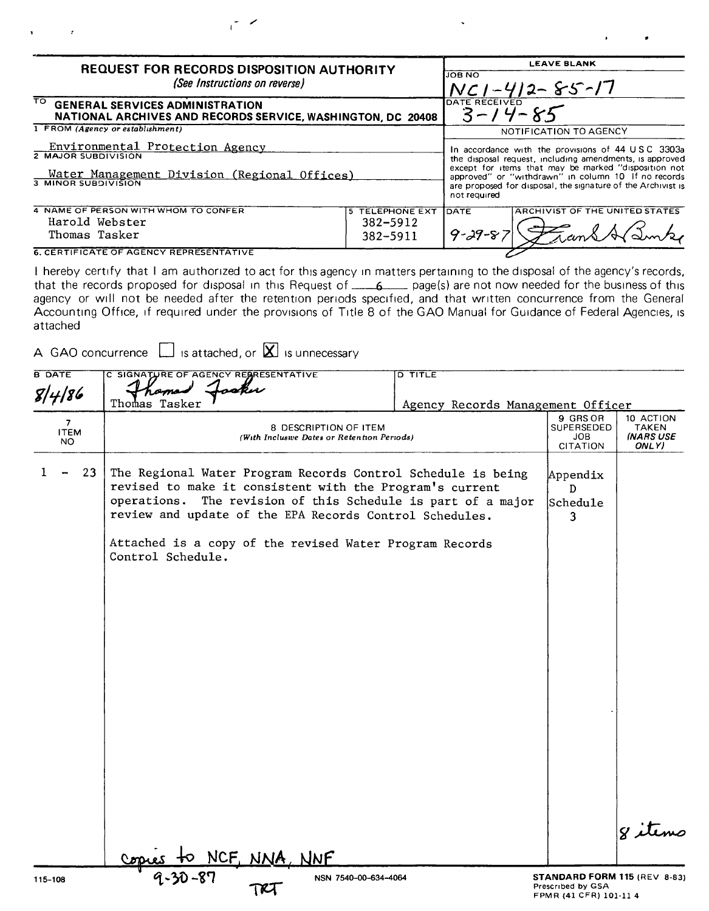| <b>REQUEST FOR RECORDS DISPOSITION AUTHORITY</b>                                                                                             | <b>LEAVE BLANK</b>                                                                                                                                                                                                                                                                                          |  |  |
|----------------------------------------------------------------------------------------------------------------------------------------------|-------------------------------------------------------------------------------------------------------------------------------------------------------------------------------------------------------------------------------------------------------------------------------------------------------------|--|--|
| (See Instructions on reverse)                                                                                                                | <b>JOB NO</b><br>$NC1 - 412 - S5 - 17$                                                                                                                                                                                                                                                                      |  |  |
| TO .<br><b>GENERAL SERVICES ADMINISTRATION</b><br>NATIONAL ARCHIVES AND RECORDS SERVICE, WASHINGTON, DC 20408                                | DATE RECEIVED<br>$3 - 14 - 85$                                                                                                                                                                                                                                                                              |  |  |
| 1 FROM (Agency or establishment)                                                                                                             | NOTIFICATION TO AGENCY                                                                                                                                                                                                                                                                                      |  |  |
| Environmental Protection Agency<br>2 MAJOR SUBDIVISION<br><u> Water Management Division (Regional Offices)</u><br><b>3 MINOR SUBDIVISION</b> | In accordance with the provisions of 44 USC 3303a<br>the disposal request, including amendments, is approved<br>except for items that may be marked "disposition not<br>approved" or "withdrawn" in column 10 If no records<br>are proposed for disposal, the signature of the Archivist is<br>not required |  |  |
| 4 NAME OF PERSON WITH WHOM TO CONFER<br>TELEPHONE EXT<br>5<br>Harold Webster<br>$382 - 5912$<br>Thomas Tasker<br>382-5911                    | <b>ARCHIVIST OF THE UNITED STATES</b><br><b>IDATE</b><br>$9 - 29 - 8$                                                                                                                                                                                                                                       |  |  |
| <b>6. CERTIFICATE OF AGENCY REPRESENTATIVE</b>                                                                                               |                                                                                                                                                                                                                                                                                                             |  |  |

 $\mathcal{L}$ 

I hereby certify that I am authorized to act for this agency in matters pertaining to the disposal of the agency's records, that the records proposed for disposal in this Request of  $\_\_\_6$  page(s) are not now needed for the business of this agency or will not be needed after the retention periods specified, and that written concurrence from the General Accounting Office, if required under the provisions of Title 8 of the GAO Manual for Guidance of Federal Agencies, is attached

A GAO concurrence  $\Box$  is attached, or  $\boxtimes$  is unnecessary

| <b>B DATE</b>                        | C SIGNATURE OF AGENCY RESRESENTATIVE                                                                                                                                                                                                                                                                                                                        | <b>D TITLE</b>                    |                                                                             |                                          |
|--------------------------------------|-------------------------------------------------------------------------------------------------------------------------------------------------------------------------------------------------------------------------------------------------------------------------------------------------------------------------------------------------------------|-----------------------------------|-----------------------------------------------------------------------------|------------------------------------------|
| 8/4/86                               | roku                                                                                                                                                                                                                                                                                                                                                        |                                   |                                                                             |                                          |
|                                      | Thomas Tasker                                                                                                                                                                                                                                                                                                                                               | Agency Records Management Officer |                                                                             |                                          |
| 7 <sup>7</sup><br><b>ITEM</b><br>NO. | 8 DESCRIPTION OF ITEM<br>(With Inclusive Dates or Retention Periods)                                                                                                                                                                                                                                                                                        |                                   |                                                                             | 10 ACTION<br>TAKEN<br>(NARS USE<br>ONLY) |
| 23                                   | The Regional Water Program Records Control Schedule is being<br>revised to make it consistent with the Program's current<br>operations. The revision of this Schedule is part of a major<br>review and update of the EPA Records Control Schedules.<br>Attached is a copy of the revised Water Program Records<br>Control Schedule.<br><u>NCF, NNA, NNF</u> |                                   | Appendix<br>D<br>Schedule<br>3.                                             | 8 items                                  |
|                                      |                                                                                                                                                                                                                                                                                                                                                             |                                   |                                                                             |                                          |
| 115-108                              | NSN 7540-00-634-4064<br>TRI                                                                                                                                                                                                                                                                                                                                 |                                   | STANDARD FORM 115 (REV 8-83)<br>Prescribed by GSA<br>FPMR (41 CFR) 101-11 4 |                                          |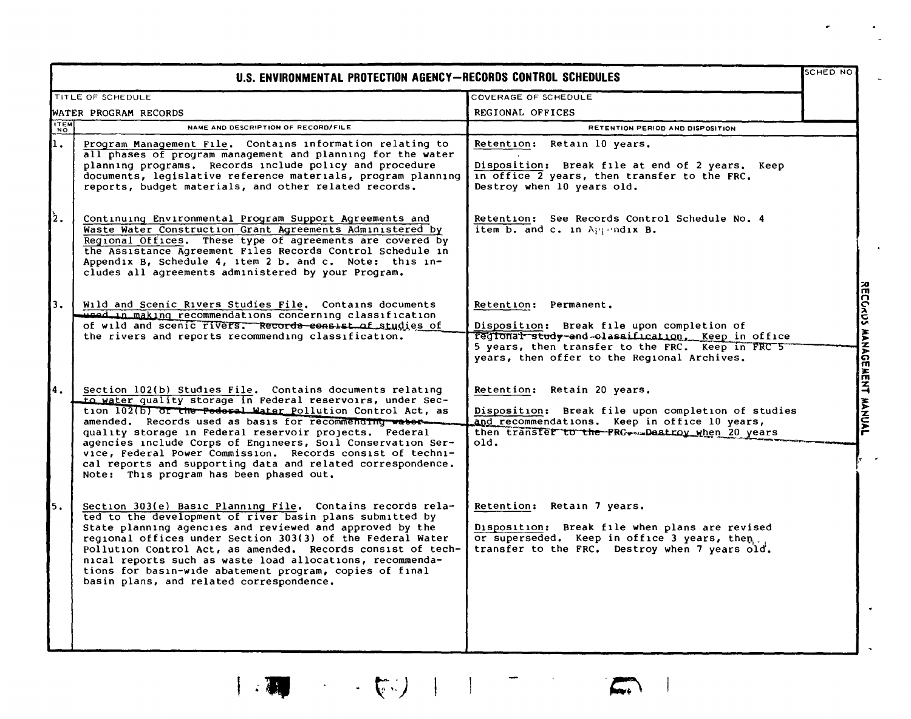|            | U.S. ENVIRONMENTAL PROTECTION AGENCY-RECORDS CONTROL SCHEDULES                                                                                                                                                                                                                                                                                                                                                                                                                                                                                  |                                                                                                                                                                                                                             | <b>SCHED NO</b>                |
|------------|-------------------------------------------------------------------------------------------------------------------------------------------------------------------------------------------------------------------------------------------------------------------------------------------------------------------------------------------------------------------------------------------------------------------------------------------------------------------------------------------------------------------------------------------------|-----------------------------------------------------------------------------------------------------------------------------------------------------------------------------------------------------------------------------|--------------------------------|
|            | TITLE OF SCHEDULE                                                                                                                                                                                                                                                                                                                                                                                                                                                                                                                               | COVERAGE OF SCHEDULE                                                                                                                                                                                                        |                                |
|            | WATER PROGRAM RECORDS                                                                                                                                                                                                                                                                                                                                                                                                                                                                                                                           | REGIONAL OFFICES                                                                                                                                                                                                            |                                |
| <b>TEM</b> | NAME AND DESCRIPTION OF RECORD/FILE                                                                                                                                                                                                                                                                                                                                                                                                                                                                                                             | RETENTION PERIOD AND DISPOSITION                                                                                                                                                                                            |                                |
| ı.         | Program Management File. Contains information relating to<br>all phases of program management and planning for the water<br>planning programs. Records include policy and procedure<br>documents, legislative reference materials, program planning<br>reports, budget materials, and other related records.                                                                                                                                                                                                                                    | Retention: Retain 10 years.<br>Disposition: Break file at end of 2 years. Keep<br>in office 2 years, then transfer to the FRC.<br>Destroy when 10 years old.                                                                |                                |
| lź.        | Continuing Environmental Program Support Agreements and<br>Waste Water Construction Grant Agreements Administered by<br>Regional Offices. These type of agreements are covered by<br>the Assistance Agreement Files Records Control Schedule in<br>Appendix B, Schedule 4, item 2 b. and c. Note: this in-<br>cludes all agreements administered by your Program.                                                                                                                                                                               | Retention: See Records Control Schedule No. 4<br>item b. and c. in Appendix B.                                                                                                                                              |                                |
| 3.         | Wild and Scenic Rivers Studies File. Contains documents<br>weed in making recommendations concerning classification<br>of wild and scenic rivers. Records consist of studies of<br>the rivers and reports recommending classification.                                                                                                                                                                                                                                                                                                          | Retention: Permanent.<br>Disposition: Break file upon completion of<br>regional study-and classification, Keep in office<br>5 years, then transfer to the FRC. Keep in FRC 5<br>years, then offer to the Regional Archives. | is<br>S<br><b>MANAUE</b><br>۱۲ |
| 4.         | Section 102(b) Studies File. Contains documents relating<br>to water quality storage in Federal reservoirs, under Sec-<br>tion 102(b) of the Pederal Water Pollution Control Act, as<br>amended. Records used as basis for recommending water-<br>quality storage in Federal reservoir projects. Federal<br>agencies include Corps of Engineers, Soil Conservation Ser-<br>vice, Federal Power Commission. Records consist of techni-<br>cal reports and supporting data and related correspondence.<br>Note: This program has been phased out. | Retention: Retain 20 years.<br>Disposition: Break file upon completion of studies<br>and recommendations. Keep in office 10 years,<br>then transfer to the PRG  Destroy when 20 years<br>old.                               | z<br><b>HANNAL</b>             |
| 5.         | Section 303(e) Basic Planning File. Contains records rela-<br>ted to the development of river basin plans submitted by<br>State planning agencies and reviewed and approved by the<br>regional offices under Section 303(3) of the Federal Water<br>Pollution Control Act, as amended. Records consist of tech-<br>nical reports such as waste load allocations, recommenda-<br>tions for basin-wide abatement program, copies of final<br>basin plans, and related correspondence.                                                             | Retention: Retain 7 years.<br>Disposition: Break file when plans are revised<br>or superseded. Keep in office 3 years, then<br>transfer to the FRC. Destroy when 7 years old.                                               |                                |

| 200 - マントリー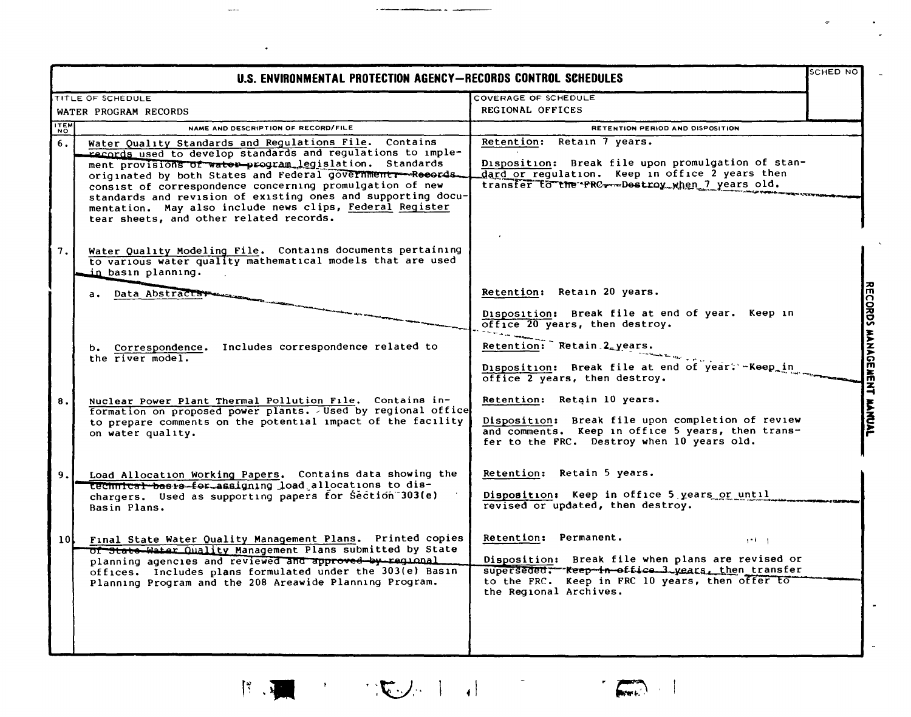|                 | U.S. ENVIRONMENTAL PROTECTION AGENCY-RECORDS CONTROL SCHEDULES                                                                                                                                                                                                                                                                                                                                                                                                                      |                                                                                                                                                                                                                             | <b>SCHED NO</b> |
|-----------------|-------------------------------------------------------------------------------------------------------------------------------------------------------------------------------------------------------------------------------------------------------------------------------------------------------------------------------------------------------------------------------------------------------------------------------------------------------------------------------------|-----------------------------------------------------------------------------------------------------------------------------------------------------------------------------------------------------------------------------|-----------------|
|                 | TITLE OF SCHEDULE<br>WATER PROGRAM RECORDS                                                                                                                                                                                                                                                                                                                                                                                                                                          | COVERAGE OF SCHEDULE<br>REGIONAL OFFICES                                                                                                                                                                                    |                 |
| <b>ITEM</b>     | NAME AND DESCRIPTION OF RECORD/FILE                                                                                                                                                                                                                                                                                                                                                                                                                                                 | <b>RETENTION PERIOD AND DISPOSITION</b>                                                                                                                                                                                     |                 |
| 6.              | Water Quality Standards and Regulations File. Contains<br>records used to develop standards and regulations to imple-<br>ment provisions of water-program legislation. Standards<br>originated by both States and Federal government -- Records.<br>consist of correspondence concerning promulgation of new<br>standards and revision of existing ones and supporting docu-<br>mentation. May also include news clips, Federal Register<br>tear sheets, and other related records. | Retention: Retain 7 years.<br>Disposition: Break file upon promulgation of stan-<br>dard or requlation. Keep in office 2 years then<br>transfer to the FRC -- Destroy when 7 years old.                                     |                 |
| 7.              | Water Quality Modeling File. Contains documents pertaining<br>to various water quality mathematical models that are used<br>in basın plannıng.                                                                                                                                                                                                                                                                                                                                      |                                                                                                                                                                                                                             |                 |
|                 | a. Data Abstracts+                                                                                                                                                                                                                                                                                                                                                                                                                                                                  | Retention: Retain 20 years.                                                                                                                                                                                                 |                 |
|                 |                                                                                                                                                                                                                                                                                                                                                                                                                                                                                     | Disposition: Break file at end of year. Keep in<br>office 20 years, then destroy.                                                                                                                                           |                 |
|                 | b. Correspondence. Includes correspondence related to<br>the river model.                                                                                                                                                                                                                                                                                                                                                                                                           | Retention: Retain 2 years.<br>Disposition: Break file at end of year. - Keep in<br>office 2 years, then destroy.                                                                                                            |                 |
| 8.              | Nuclear Power Plant Thermal Pollution File. Contains in-<br>formation on proposed power plants. Used by regional office<br>to prepare comments on the potential impact of the facility<br>on water quality.                                                                                                                                                                                                                                                                         | Retention: Retain 10 years.<br>Disposition: Break file upon completion of review<br>and comments. Keep in office 5 years, then trans-<br>fer to the FRC. Destroy when 10 years old.                                         |                 |
| 9.              | Load Allocation Working Papers. Contains data showing the<br>technical besis for assigning load allocations to dis-<br>chargers. Used as supporting papers for Section 303(e)<br>Basin Plans.                                                                                                                                                                                                                                                                                       | Retention: Retain 5 years.<br>Disposition: Keep in office 5 years or until<br>revised or updated, then destroy.                                                                                                             |                 |
| 10 <sup>1</sup> | Final State Water Quality Management Plans. Printed copies<br>of State Water Quality Management Plans submitted by State<br>planning agencies and reviewed and approved by regional<br>offices. Includes plans formulated under the 303(e) Basin<br>Planning Program and the 208 Areawide Planning Program.                                                                                                                                                                         | Retention: Permanent.<br>$1 - 1 - 1$<br>Disposition: Break file when plans are revised or<br>superseded. Keep in office 3 years, then transfer<br>to the FRC. Keep in FRC 10 years, then offer to<br>the Regional Archives. |                 |
|                 |                                                                                                                                                                                                                                                                                                                                                                                                                                                                                     |                                                                                                                                                                                                                             |                 |

 $\frac{1}{2}$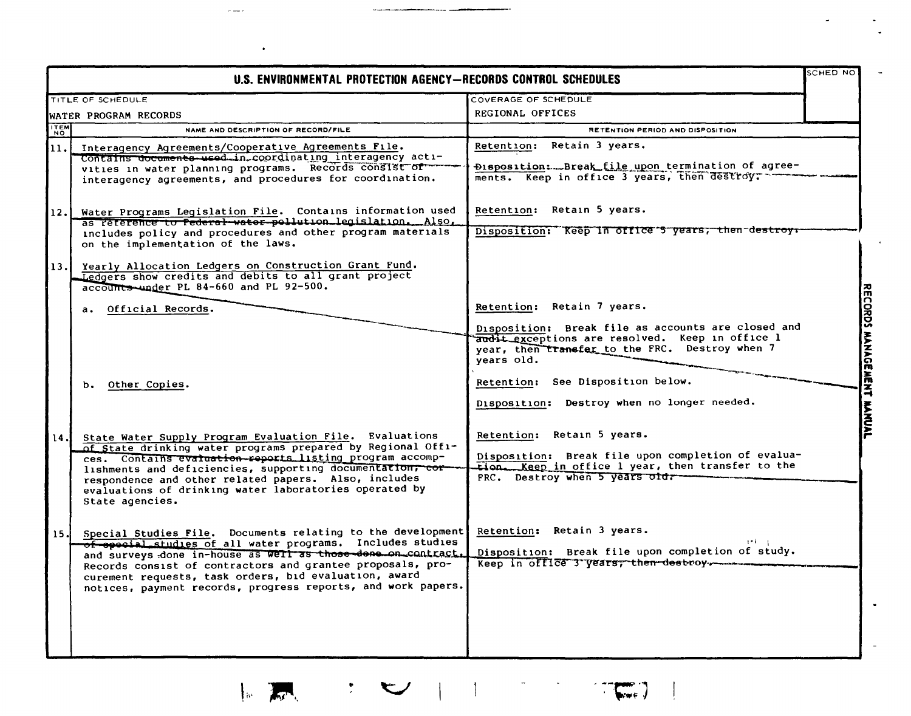|                     | U.S. ENVIRONMENTAL PROTECTION AGENCY-RECORDS CONTROL SCHEDULES                                                                                                                                                                                                                                                                                                                        |                                                                                                                                                                         | <b>SCHED NO</b> |
|---------------------|---------------------------------------------------------------------------------------------------------------------------------------------------------------------------------------------------------------------------------------------------------------------------------------------------------------------------------------------------------------------------------------|-------------------------------------------------------------------------------------------------------------------------------------------------------------------------|-----------------|
|                     | TITLE OF SCHEDULE                                                                                                                                                                                                                                                                                                                                                                     | COVERAGE OF SCHEDULE                                                                                                                                                    |                 |
|                     | WATER PROGRAM RECORDS                                                                                                                                                                                                                                                                                                                                                                 | REGIONAL OFFICES                                                                                                                                                        |                 |
| <b>ITEM</b>         | NAME AND DESCRIPTION OF RECORD/FILE                                                                                                                                                                                                                                                                                                                                                   | <b>RETENTION PERIOD AND DISPOSITION</b>                                                                                                                                 |                 |
| $\vert$ 11. $\vert$ | Interagency Agreements/Cooperative Agreements File.<br>Contains documents used in coordinating interagency acti-<br>vities in water planning programs. Records consist of<br>interagency agreements, and procedures for coordination.                                                                                                                                                 | Retention: Retain 3 years.<br>Disposition: Break file upon termination of agree-<br>ments. Keep in office 3 years, then destroy.                                        |                 |
| 12.1<br>13.1        | Water Programs Legislation File. Contains information used<br>as reference to federal water pollution legislation. Also,<br>includes policy and procedures and other program materials<br>on the implementation of the laws.<br>Yearly Allocation Ledgers on Construction Grant Fund.<br>Ledgers show credits and debits to all grant project                                         | Retention: Retain 5 years.<br>Disposition: Reep in office 5 years, then destroys                                                                                        |                 |
|                     | accounts under PL 84-660 and PL 92-500.<br>a. Official Records.                                                                                                                                                                                                                                                                                                                       | Retention: Retain 7 years.<br>Disposition: Break file as accounts are closed and<br>audit exceptions are resolved. Keep in office l                                     |                 |
|                     | b. Other Copies.                                                                                                                                                                                                                                                                                                                                                                      | year, then transfer to the FRC. Destroy when 7<br>years old.<br>Retention: See Disposition below.<br>Disposition: Destroy when no longer needed.                        |                 |
| 14 J                | State Water Supply Program Evaluation File. Evaluations<br>of State drinking water programs prepared by Regional Offi-<br>ces. Contains evaluation-reports listing program accomp-<br>lishments and deficiencies, supporting documentation, cor-<br>respondence and other related papers. Also, includes<br>evaluations of drinking water laboratories operated by<br>State agencies. | Retention: Retain 5 years.<br>Disposition: Break file upon completion of evalua-<br>tion. Keep in office 1 year, then transfer to the<br>FRC. Destroy when 5 years old. |                 |
| 15.1                | Special Studies File. Documents relating to the development<br>of special studies of all water programs. Includes studies<br>and surveys done in-house as well as those-done on contract.<br>Records consist of contractors and grantee proposals, pro-<br>curement requests, task orders, bid evaluation, award<br>notices, payment records, progress reports, and work papers.      | Retention: Retain 3 years.<br>Disposition: Break file upon completion of study.<br>Keep in office 3 years, then destroy.                                                |                 |

 $\mathcal{L}$ 

 $\mathbb{R}$ 

 $\mathcal{L}^{\mathcal{L}}$ 

 $-$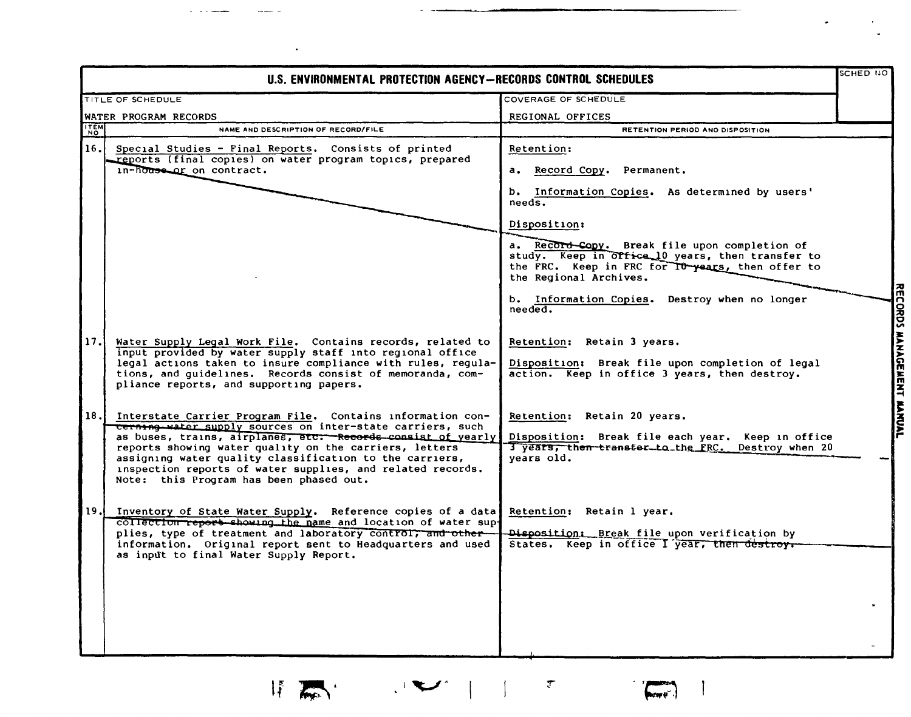|             | U.S. ENVIRONMENTAL PROTECTION AGENCY-RECORDS CONTROL SCHEDULES                                                                                                                                                                                                                                                                                                                                                          |                                                                                                                                                                                                                                                                       | SCHED NO |                           |
|-------------|-------------------------------------------------------------------------------------------------------------------------------------------------------------------------------------------------------------------------------------------------------------------------------------------------------------------------------------------------------------------------------------------------------------------------|-----------------------------------------------------------------------------------------------------------------------------------------------------------------------------------------------------------------------------------------------------------------------|----------|---------------------------|
|             | TITLE OF SCHEDULE                                                                                                                                                                                                                                                                                                                                                                                                       | COVERAGE OF SCHEDULE                                                                                                                                                                                                                                                  |          |                           |
|             | WATER PROGRAM RECORDS                                                                                                                                                                                                                                                                                                                                                                                                   | REGIONAL OFFICES                                                                                                                                                                                                                                                      |          |                           |
| <b>ITEM</b> | NAME AND DESCRIPTION OF RECORD/FILE                                                                                                                                                                                                                                                                                                                                                                                     | RETENTION PERIOD ANO DISPOSITION                                                                                                                                                                                                                                      |          |                           |
| 16.1        | Special Studies - Final Reports. Consists of printed<br>reports (final copies) on water program topics, prepared<br>in-house or on contract.                                                                                                                                                                                                                                                                            | Retention:<br>a. Record Copy. Permanent.<br>b. Information Copies. As determined by users'                                                                                                                                                                            |          |                           |
|             |                                                                                                                                                                                                                                                                                                                                                                                                                         | needs.<br>Disposition:<br>a. Record-Copy. Break file upon completion of<br>study. Keep in office 10 years, then transfer to<br>the FRC. Keep in FRC for TO-years, then offer to<br>the Regional Archives.<br>b. Information Copies. Destroy when no longer<br>needed. |          |                           |
| 17.1        | Water Supply Legal Work File. Contains records, related to<br>input provided by water supply staff into regional office<br>legal actions taken to insure compliance with rules, regula-<br>tions, and quidelines. Records consist of memoranda, com-<br>pliance reports, and supporting papers.                                                                                                                         | Retention: Retain 3 years.<br>Disposition: Break file upon completion of legal<br>action. Keep in office 3 years, then destroy.                                                                                                                                       |          | RECORDS MANAGEMENT MANUAL |
| 18.1        | Interstate Carrier Program File. Contains information con-<br>cerning water supply sources on inter-state carriers, such<br>as buses, trains, airplanes, etc: - Records consist of yearly<br>reports showing water quality on the carriers, letters<br>assigning water quality classification to the carriers,<br>inspection reports of water supplies, and related records.<br>Note: this Program has been phased out. | Retention: Retain 20 years.<br>Disposition: Break file each year. Keep in office<br>3 years, then transfer to the FRC. Destroy when 20<br>years old.                                                                                                                  |          |                           |
| 19.         | Inventory of State Water Supply. Reference copies of a data<br>collection report showing the name and location of water sup-<br>plies, type of treatment and laboratory control, and other-<br>information. Original report sent to Headquarters and used<br>as input to final Water Supply Report.                                                                                                                     | Retention: Retain 1 year.<br>Disposition: Break file upon verification by<br>States. Keep in office I year, then destroy.                                                                                                                                             |          |                           |

 $\mathcal{F}$ 

 $\binom{m}{\text{loop}}$ 

 $\mathcal{L}^{\text{max}}$ 

 $\mathbb{I}$   $\mathbb{R}$ 

 $\bullet$ 

 $\bullet$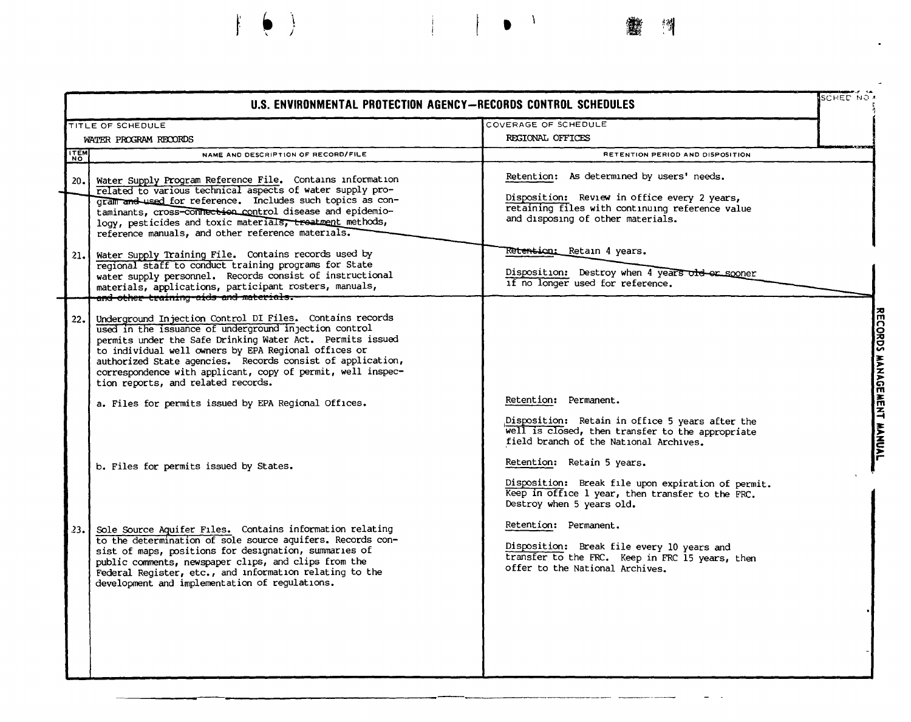## SCHED NO U.S. ENVIRONMENTAL PROTECTION AGENCY-RECORDS CONTROL SCHEDULES COVERAGE OF SCHEDULE TITLE OF SCHEDULE RECTONAL OFFICES WATER PROGRAM RECORDS **TTEM** NAME AND DESCRIPTION OF RECORD/FILE RETENTION PERIOD AND DISPOSITION Retention: As determined by users' needs.  $20.1$ Water Supply Program Reference File. Contains information related to various technical aspects of water supply pro-Disposition: Review in office every 2 years, gram and used for reference. Includes such topics as conretaining files with continuing reference value taminants, cross-connection control disease and epidemioand disposing of other materials. logy, pesticides and toxic materials, treatment methods, reference manuals, and other reference materials. Re<del>tentio</del>n: Retain 4 vears. Water Supply Training File. Contains records used by  $21.1$ regional staff to conduct training programs for State Disposition: Destroy when 4 years old or sooner water supply personnel. Records consist of instructional if no longer used for reference. materials, applications, participant rosters, manuals, and other training aids and materials. Underground Injection Control DI Files. Contains records  $22.1$ used in the issuance of underground in jection control permits under the Safe Drinking Water Act. Permits issued to individual well owners by EPA Regional offices or authorized State agencies. Records consist of application, correspondence with applicant, copy of permit, well inspection reports, and related records. Retention: Permanent. a. Files for permits issued by EPA Regional Offices. Disposition: Retain in office 5 years after the well is closed, then transfer to the appropriate field branch of the National Archives. Retention: Retain 5 years. b. Files for permits issued by States. Disposition: Break file upon expiration of permit. Keep in office 1 year, then transfer to the FRC. Destroy when 5 years old. Retention: Permanent.  $23.1$ Sole Source Aquifer Files. Contains information relating to the determination of sole source aquifers. Records con-Disposition: Break file every 10 years and sist of maps, positions for designation, summaries of transfer to the FRC. Keep in FRC 15 years, then public comments, newspaper clips, and clips from the offer to the National Archives. Federal Register, etc., and information relating to the development and implementation of regulations.

RECORDS MANAGEMENT MANUAL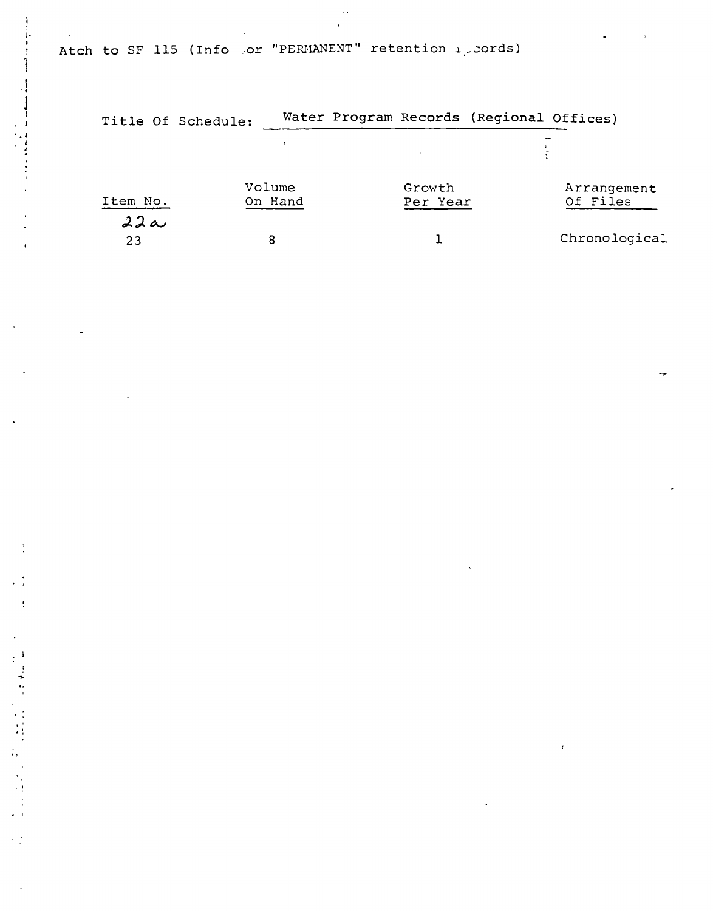Atch to SF 115 (Info .or "PERMANENT" retention 1, cords)

 $\epsilon^{-\frac{1}{2}}$ 

 $\frac{1}{2}$ 

÷,

|           | Title Of Schedule: |  |                    | Water Program Records (Regional Offices) |                         |
|-----------|--------------------|--|--------------------|------------------------------------------|-------------------------|
|           |                    |  |                    |                                          |                         |
| Item No.  | Volume<br>On Hand  |  | Growth<br>Per Year |                                          | Arrangement<br>Of Files |
| 22a<br>23 | 8                  |  |                    |                                          | Chronological           |